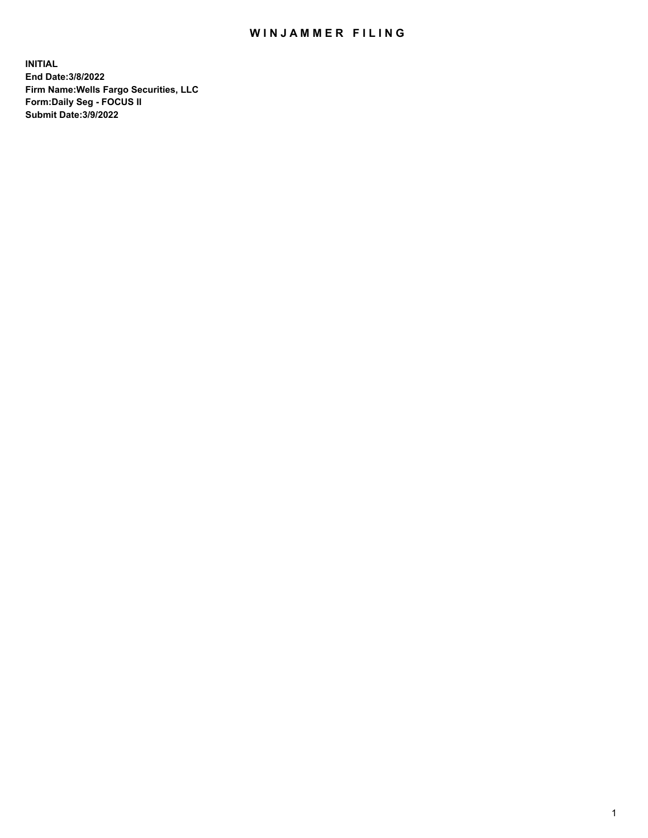## WIN JAMMER FILING

**INITIAL End Date:3/8/2022 Firm Name:Wells Fargo Securities, LLC Form:Daily Seg - FOCUS II Submit Date:3/9/2022**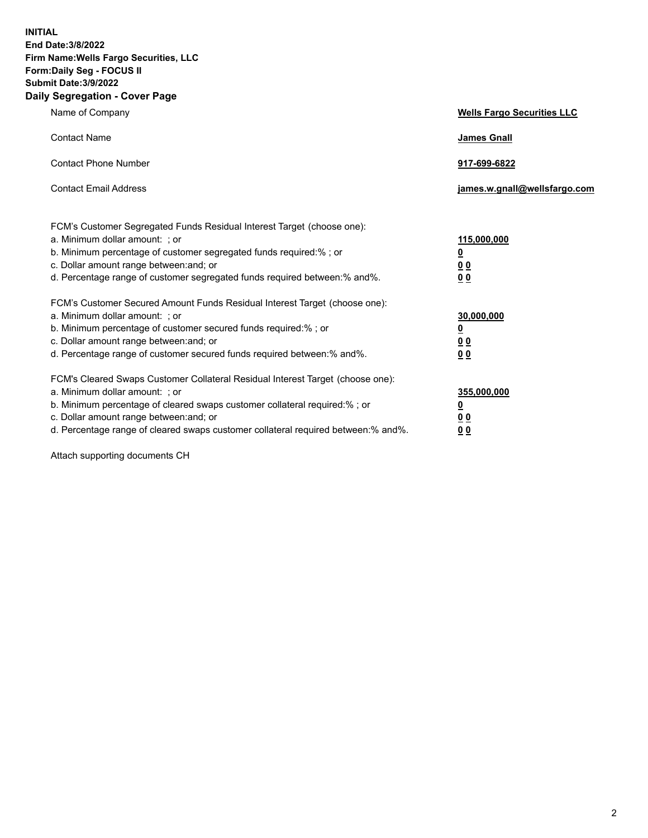**INITIAL End Date:3/8/2022 Firm Name:Wells Fargo Securities, LLC Form:Daily Seg - FOCUS II Submit Date:3/9/2022 Daily Segregation - Cover Page**

| Name of Company                                                                                                                                                                                                                                                                                                                | <b>Wells Fargo Securities LLC</b>               |
|--------------------------------------------------------------------------------------------------------------------------------------------------------------------------------------------------------------------------------------------------------------------------------------------------------------------------------|-------------------------------------------------|
| <b>Contact Name</b>                                                                                                                                                                                                                                                                                                            | <b>James Gnall</b>                              |
| <b>Contact Phone Number</b>                                                                                                                                                                                                                                                                                                    | 917-699-6822                                    |
| <b>Contact Email Address</b>                                                                                                                                                                                                                                                                                                   | james.w.gnall@wellsfargo.com                    |
| FCM's Customer Segregated Funds Residual Interest Target (choose one):<br>a. Minimum dollar amount: ; or<br>b. Minimum percentage of customer segregated funds required:% ; or<br>c. Dollar amount range between: and; or<br>d. Percentage range of customer segregated funds required between:% and%.                         | 115,000,000<br><u>0</u><br>0 <sub>0</sub><br>00 |
| FCM's Customer Secured Amount Funds Residual Interest Target (choose one):<br>a. Minimum dollar amount: ; or<br>b. Minimum percentage of customer secured funds required:% ; or<br>c. Dollar amount range between: and; or<br>d. Percentage range of customer secured funds required between:% and%.                           | 30,000,000<br><u>0</u><br>00<br>0 <sub>0</sub>  |
| FCM's Cleared Swaps Customer Collateral Residual Interest Target (choose one):<br>a. Minimum dollar amount: ; or<br>b. Minimum percentage of cleared swaps customer collateral required:% ; or<br>c. Dollar amount range between: and; or<br>d. Percentage range of cleared swaps customer collateral required between:% and%. | 355,000,000<br><u>0</u><br>0 <sub>0</sub><br>00 |

Attach supporting documents CH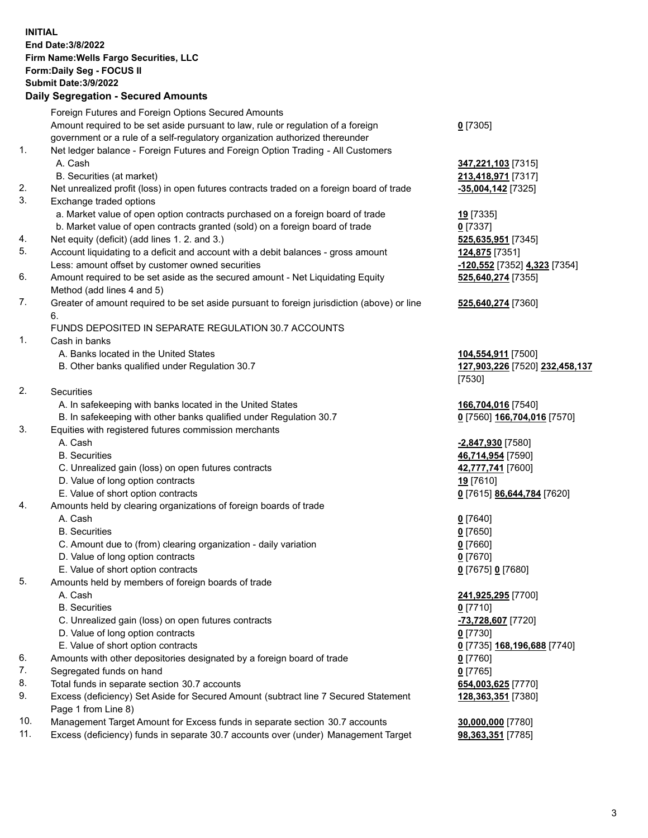**INITIAL End Date:3/8/2022 Firm Name:Wells Fargo Securities, LLC Form:Daily Seg - FOCUS II Submit Date:3/9/2022 Daily Segregation - Secured Amounts** Foreign Futures and Foreign Options Secured Amounts Amount required to be set aside pursuant to law, rule or regulation of a foreign government or a rule of a self-regulatory organization authorized thereunder **0** [7305] 1. Net ledger balance - Foreign Futures and Foreign Option Trading - All Customers A. Cash **347,221,103** [7315] B. Securities (at market) **213,418,971** [7317] 2. Net unrealized profit (loss) in open futures contracts traded on a foreign board of trade **-35,004,142** [7325] 3. Exchange traded options a. Market value of open option contracts purchased on a foreign board of trade **19** [7335] b. Market value of open contracts granted (sold) on a foreign board of trade **0** [7337] 4. Net equity (deficit) (add lines 1. 2. and 3.) **525,635,951** [7345] 5. Account liquidating to a deficit and account with a debit balances - gross amount **124,875** [7351] Less: amount offset by customer owned securities **-120,552** [7352] **4,323** [7354] 6. Amount required to be set aside as the secured amount - Net Liquidating Equity Method (add lines 4 and 5) **525,640,274** [7355] 7. Greater of amount required to be set aside pursuant to foreign jurisdiction (above) or line 6. **525,640,274** [7360] FUNDS DEPOSITED IN SEPARATE REGULATION 30.7 ACCOUNTS 1. Cash in banks A. Banks located in the United States **104,554,911** [7500] B. Other banks qualified under Regulation 30.7 **127,903,226** [7520] **232,458,137** [7530] 2. Securities A. In safekeeping with banks located in the United States **166,704,016** [7540] B. In safekeeping with other banks qualified under Regulation 30.7 **0** [7560] **166,704,016** [7570] 3. Equities with registered futures commission merchants A. Cash **-2,847,930** [7580] B. Securities **46,714,954** [7590] C. Unrealized gain (loss) on open futures contracts **42,777,741** [7600] D. Value of long option contracts **19** [7610] E. Value of short option contracts **0** [7615] **86,644,784** [7620] 4. Amounts held by clearing organizations of foreign boards of trade A. Cash **0** [7640] B. Securities **0** [7650] C. Amount due to (from) clearing organization - daily variation **0** [7660] D. Value of long option contracts **0** [7670] E. Value of short option contracts **0** [7675] **0** [7680] 5. Amounts held by members of foreign boards of trade A. Cash **241,925,295** [7700] B. Securities **0** [7710] C. Unrealized gain (loss) on open futures contracts **-73,728,607** [7720] D. Value of long option contracts **0** [7730] E. Value of short option contracts **0** [7735] **168,196,688** [7740] 6. Amounts with other depositories designated by a foreign board of trade **0** [7760] 7. Segregated funds on hand **0** [7765] 8. Total funds in separate section 30.7 accounts **654,003,625** [7770] 9. Excess (deficiency) Set Aside for Secured Amount (subtract line 7 Secured Statement **128,363,351** [7380]

Page 1 from Line 8)

10. Management Target Amount for Excess funds in separate section 30.7 accounts **30,000,000** [7780] 11. Excess (deficiency) funds in separate 30.7 accounts over (under) Management Target **98,363,351** [7785]

3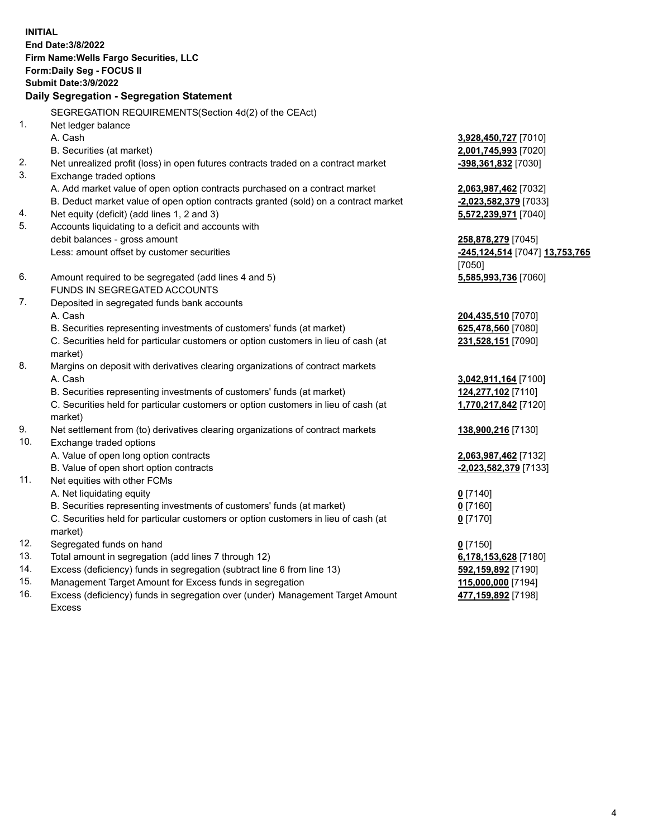**INITIAL End Date:3/8/2022 Firm Name:Wells Fargo Securities, LLC Form:Daily Seg - FOCUS II Submit Date:3/9/2022 Daily Segregation - Segregation Statement** SEGREGATION REQUIREMENTS(Section 4d(2) of the CEAct) 1. Net ledger balance A. Cash **3,928,450,727** [7010] B. Securities (at market) **2,001,745,993** [7020] 2. Net unrealized profit (loss) in open futures contracts traded on a contract market **-398,361,832** [7030] 3. Exchange traded options A. Add market value of open option contracts purchased on a contract market **2,063,987,462** [7032] B. Deduct market value of open option contracts granted (sold) on a contract market **-2,023,582,379** [7033] 4. Net equity (deficit) (add lines 1, 2 and 3) **5,572,239,971** [7040] 5. Accounts liquidating to a deficit and accounts with debit balances - gross amount **258,878,279** [7045] Less: amount offset by customer securities **-245,124,514** [7047] **13,753,765** [7050] 6. Amount required to be segregated (add lines 4 and 5) **5,585,993,736** [7060] FUNDS IN SEGREGATED ACCOUNTS 7. Deposited in segregated funds bank accounts A. Cash **204,435,510** [7070] B. Securities representing investments of customers' funds (at market) **625,478,560** [7080] C. Securities held for particular customers or option customers in lieu of cash (at market) **231,528,151** [7090] 8. Margins on deposit with derivatives clearing organizations of contract markets A. Cash **3,042,911,164** [7100] B. Securities representing investments of customers' funds (at market) **124,277,102** [7110] C. Securities held for particular customers or option customers in lieu of cash (at market) **1,770,217,842** [7120] 9. Net settlement from (to) derivatives clearing organizations of contract markets **138,900,216** [7130] 10. Exchange traded options A. Value of open long option contracts **2,063,987,462** [7132] B. Value of open short option contracts **-2,023,582,379** [7133] 11. Net equities with other FCMs A. Net liquidating equity **0** [7140] B. Securities representing investments of customers' funds (at market) **0** [7160] C. Securities held for particular customers or option customers in lieu of cash (at market) **0** [7170] 12. Segregated funds on hand **0** [7150] 13. Total amount in segregation (add lines 7 through 12) **6,178,153,628** [7180] 14. Excess (deficiency) funds in segregation (subtract line 6 from line 13) **592,159,892** [7190] 15. Management Target Amount for Excess funds in segregation **115,000,000** [7194] **477,159,892** [7198]

16. Excess (deficiency) funds in segregation over (under) Management Target Amount Excess